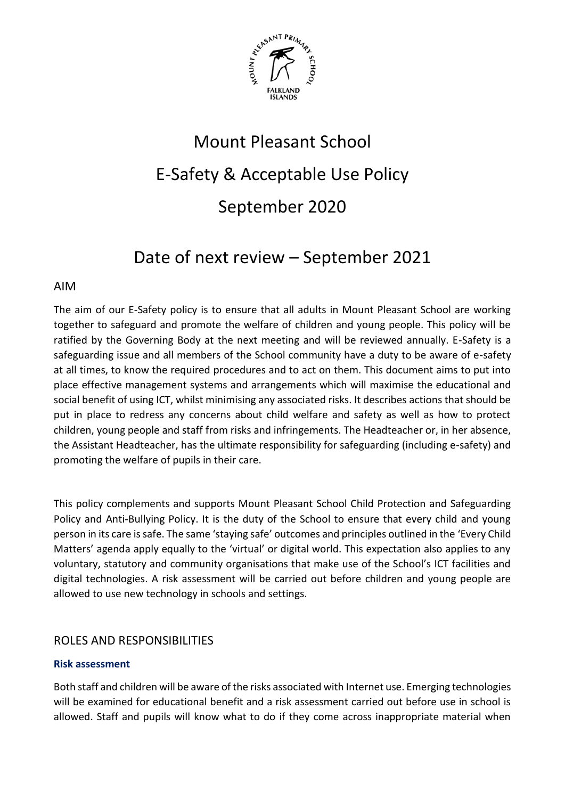

# Mount Pleasant School E-Safety & Acceptable Use Policy September 2020

## Date of next review – September 2021

#### AIM

The aim of our E-Safety policy is to ensure that all adults in Mount Pleasant School are working together to safeguard and promote the welfare of children and young people. This policy will be ratified by the Governing Body at the next meeting and will be reviewed annually. E-Safety is a safeguarding issue and all members of the School community have a duty to be aware of e-safety at all times, to know the required procedures and to act on them. This document aims to put into place effective management systems and arrangements which will maximise the educational and social benefit of using ICT, whilst minimising any associated risks. It describes actions that should be put in place to redress any concerns about child welfare and safety as well as how to protect children, young people and staff from risks and infringements. The Headteacher or, in her absence, the Assistant Headteacher, has the ultimate responsibility for safeguarding (including e-safety) and promoting the welfare of pupils in their care.

This policy complements and supports Mount Pleasant School Child Protection and Safeguarding Policy and Anti-Bullying Policy. It is the duty of the School to ensure that every child and young person in its care is safe. The same 'staying safe' outcomes and principles outlined in the 'Every Child Matters' agenda apply equally to the 'virtual' or digital world. This expectation also applies to any voluntary, statutory and community organisations that make use of the School's ICT facilities and digital technologies. A risk assessment will be carried out before children and young people are allowed to use new technology in schools and settings.

#### ROLES AND RESPONSIBILITIES

#### **Risk assessment**

Both staff and children will be aware of the risks associated with Internet use. Emerging technologies will be examined for educational benefit and a risk assessment carried out before use in school is allowed. Staff and pupils will know what to do if they come across inappropriate material when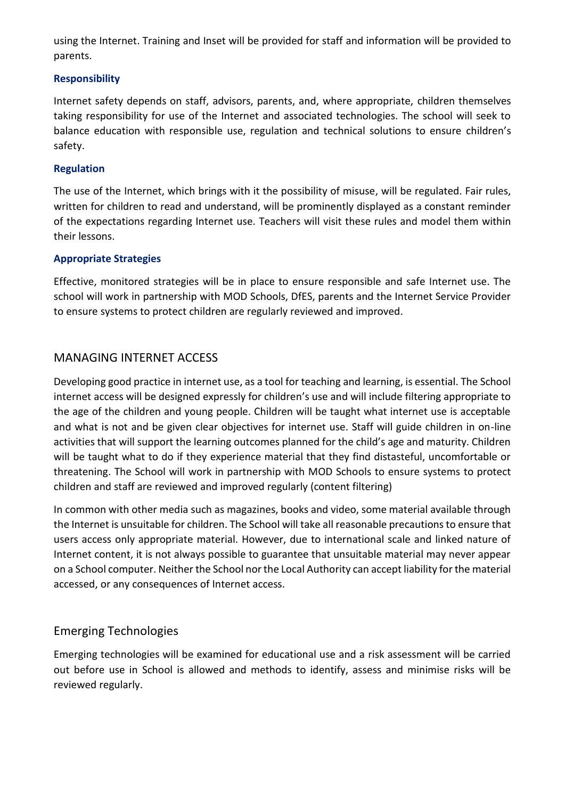using the Internet. Training and Inset will be provided for staff and information will be provided to parents.

#### **Responsibility**

Internet safety depends on staff, advisors, parents, and, where appropriate, children themselves taking responsibility for use of the Internet and associated technologies. The school will seek to balance education with responsible use, regulation and technical solutions to ensure children's safety.

#### **Regulation**

The use of the Internet, which brings with it the possibility of misuse, will be regulated. Fair rules, written for children to read and understand, will be prominently displayed as a constant reminder of the expectations regarding Internet use. Teachers will visit these rules and model them within their lessons.

#### **Appropriate Strategies**

Effective, monitored strategies will be in place to ensure responsible and safe Internet use. The school will work in partnership with MOD Schools, DfES, parents and the Internet Service Provider to ensure systems to protect children are regularly reviewed and improved.

#### MANAGING INTERNET ACCESS

Developing good practice in internet use, as a tool for teaching and learning, is essential. The School internet access will be designed expressly for children's use and will include filtering appropriate to the age of the children and young people. Children will be taught what internet use is acceptable and what is not and be given clear objectives for internet use. Staff will guide children in on-line activities that will support the learning outcomes planned for the child's age and maturity. Children will be taught what to do if they experience material that they find distasteful, uncomfortable or threatening. The School will work in partnership with MOD Schools to ensure systems to protect children and staff are reviewed and improved regularly (content filtering)

In common with other media such as magazines, books and video, some material available through the Internet is unsuitable for children. The School will take all reasonable precautions to ensure that users access only appropriate material. However, due to international scale and linked nature of Internet content, it is not always possible to guarantee that unsuitable material may never appear on a School computer. Neither the School nor the Local Authority can accept liability for the material accessed, or any consequences of Internet access.

#### Emerging Technologies

Emerging technologies will be examined for educational use and a risk assessment will be carried out before use in School is allowed and methods to identify, assess and minimise risks will be reviewed regularly.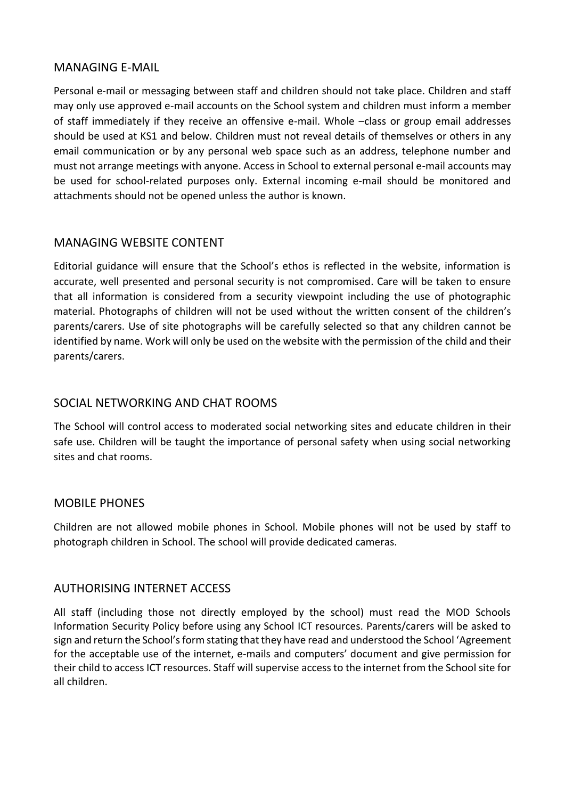#### MANAGING E-MAIL

Personal e-mail or messaging between staff and children should not take place. Children and staff may only use approved e-mail accounts on the School system and children must inform a member of staff immediately if they receive an offensive e-mail. Whole –class or group email addresses should be used at KS1 and below. Children must not reveal details of themselves or others in any email communication or by any personal web space such as an address, telephone number and must not arrange meetings with anyone. Access in School to external personal e-mail accounts may be used for school-related purposes only. External incoming e-mail should be monitored and attachments should not be opened unless the author is known.

#### MANAGING WEBSITE CONTENT

Editorial guidance will ensure that the School's ethos is reflected in the website, information is accurate, well presented and personal security is not compromised. Care will be taken to ensure that all information is considered from a security viewpoint including the use of photographic material. Photographs of children will not be used without the written consent of the children's parents/carers. Use of site photographs will be carefully selected so that any children cannot be identified by name. Work will only be used on the website with the permission of the child and their parents/carers.

#### SOCIAL NETWORKING AND CHAT ROOMS

The School will control access to moderated social networking sites and educate children in their safe use. Children will be taught the importance of personal safety when using social networking sites and chat rooms.

#### MOBILE PHONES

Children are not allowed mobile phones in School. Mobile phones will not be used by staff to photograph children in School. The school will provide dedicated cameras.

#### AUTHORISING INTERNET ACCESS

All staff (including those not directly employed by the school) must read the MOD Schools Information Security Policy before using any School ICT resources. Parents/carers will be asked to sign and return the School's form stating that they have read and understood the School 'Agreement for the acceptable use of the internet, e-mails and computers' document and give permission for their child to access ICT resources. Staff will supervise access to the internet from the School site for all children.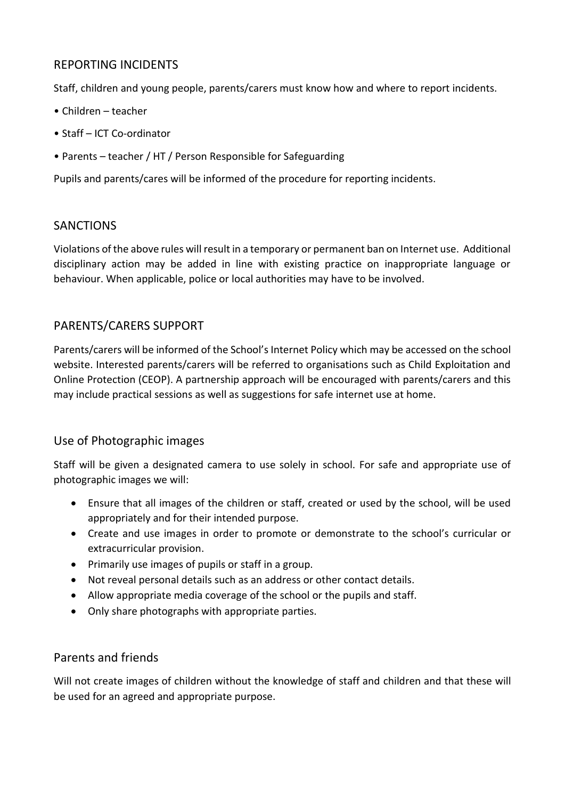#### REPORTING INCIDENTS

Staff, children and young people, parents/carers must know how and where to report incidents.

- Children teacher
- Staff ICT Co-ordinator
- Parents teacher / HT / Person Responsible for Safeguarding

Pupils and parents/cares will be informed of the procedure for reporting incidents.

#### SANCTIONS

Violations of the above rules will result in a temporary or permanent ban on Internet use. Additional disciplinary action may be added in line with existing practice on inappropriate language or behaviour. When applicable, police or local authorities may have to be involved.

#### PARENTS/CARERS SUPPORT

Parents/carers will be informed of the School's Internet Policy which may be accessed on the school website. Interested parents/carers will be referred to organisations such as Child Exploitation and Online Protection (CEOP). A partnership approach will be encouraged with parents/carers and this may include practical sessions as well as suggestions for safe internet use at home.

#### Use of Photographic images

Staff will be given a designated camera to use solely in school. For safe and appropriate use of photographic images we will:

- Ensure that all images of the children or staff, created or used by the school, will be used appropriately and for their intended purpose.
- Create and use images in order to promote or demonstrate to the school's curricular or extracurricular provision.
- Primarily use images of pupils or staff in a group.
- Not reveal personal details such as an address or other contact details.
- Allow appropriate media coverage of the school or the pupils and staff.
- Only share photographs with appropriate parties.

#### Parents and friends

Will not create images of children without the knowledge of staff and children and that these will be used for an agreed and appropriate purpose.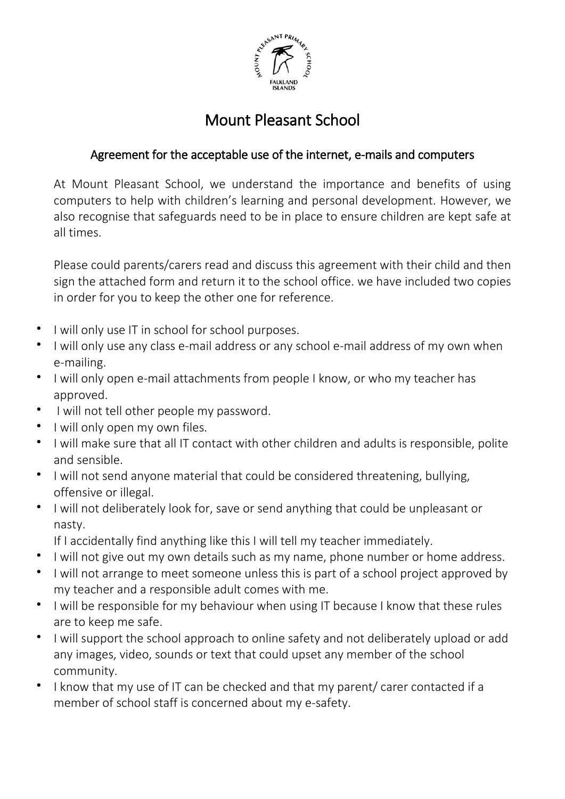

### Mount Pleasant School

### Agreement for the acceptable use of the internet, e-mails and computers

At Mount Pleasant School, we understand the importance and benefits of using computers to help with children's learning and personal development. However, we also recognise that safeguards need to be in place to ensure children are kept safe at all times.

Please could parents/carers read and discuss this agreement with their child and then sign the attached form and return it to the school office. we have included two copies in order for you to keep the other one for reference.

- I will only use IT in school for school purposes.
- I will only use any class e-mail address or any school e-mail address of my own when e-mailing.
- I will only open e-mail attachments from people I know, or who my teacher has approved.
- I will not tell other people my password.
- I will only open my own files.
- I will make sure that all IT contact with other children and adults is responsible, polite and sensible.
- I will not send anyone material that could be considered threatening, bullying, offensive or illegal.
- I will not deliberately look for, save or send anything that could be unpleasant or nasty.
	- If I accidentally find anything like this I will tell my teacher immediately.
- I will not give out my own details such as my name, phone number or home address.
- I will not arrange to meet someone unless this is part of a school project approved by my teacher and a responsible adult comes with me.
- I will be responsible for my behaviour when using IT because I know that these rules are to keep me safe.
- I will support the school approach to online safety and not deliberately upload or add any images, video, sounds or text that could upset any member of the school community.
- I know that my use of IT can be checked and that my parent/ carer contacted if a member of school staff is concerned about my e-safety.